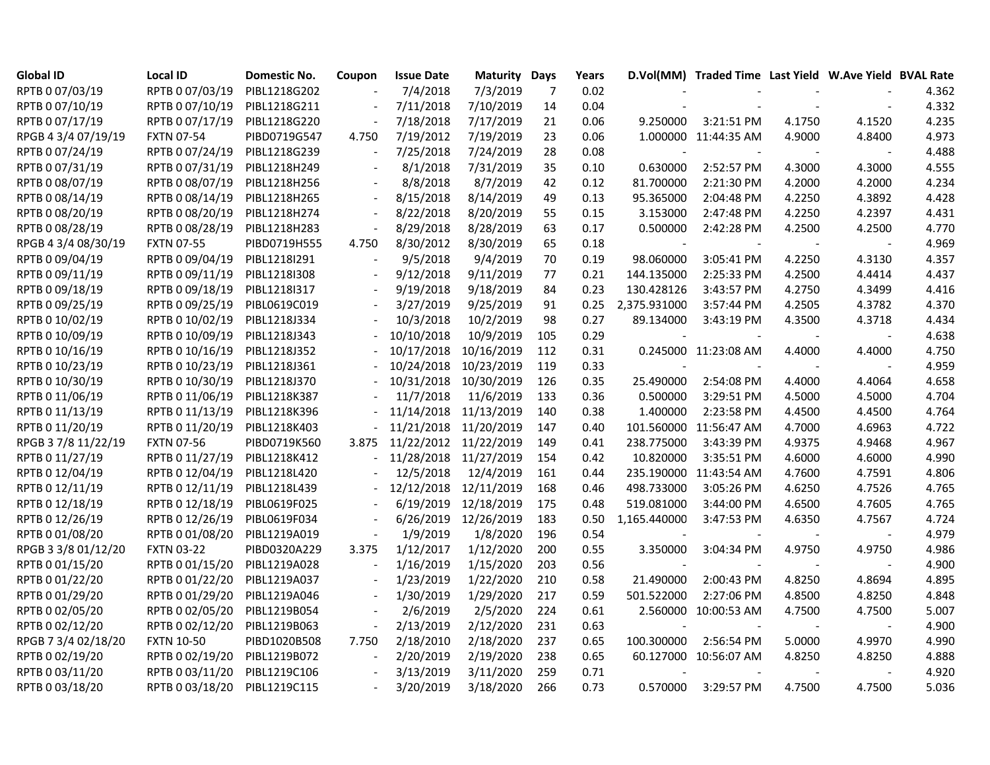| <b>Global ID</b>    | <b>Local ID</b>   | <b>Domestic No.</b> | Coupon                   | <b>Issue Date</b>     | <b>Maturity Days</b>  |     | Years |                          | D.Vol(MM) Traded Time Last Yield W.Ave Yield BVAL Rate |        |              |       |
|---------------------|-------------------|---------------------|--------------------------|-----------------------|-----------------------|-----|-------|--------------------------|--------------------------------------------------------|--------|--------------|-------|
| RPTB 0 07/03/19     | RPTB 0 07/03/19   | PIBL1218G202        |                          | 7/4/2018              | 7/3/2019              | 7   | 0.02  |                          |                                                        |        |              | 4.362 |
| RPTB 0 07/10/19     | RPTB 0 07/10/19   | PIBL1218G211        |                          | 7/11/2018             | 7/10/2019             | 14  | 0.04  |                          |                                                        |        |              | 4.332 |
| RPTB 0 07/17/19     | RPTB 0 07/17/19   | PIBL1218G220        |                          | 7/18/2018             | 7/17/2019             | 21  | 0.06  | 9.250000                 | 3:21:51 PM                                             | 4.1750 | 4.1520       | 4.235 |
| RPGB 4 3/4 07/19/19 | <b>FXTN 07-54</b> | PIBD0719G547        | 4.750                    | 7/19/2012             | 7/19/2019             | 23  | 0.06  |                          | 1.000000 11:44:35 AM                                   | 4.9000 | 4.8400       | 4.973 |
| RPTB 0 07/24/19     | RPTB 0 07/24/19   | PIBL1218G239        |                          | 7/25/2018             | 7/24/2019             | 28  | 0.08  | $\overline{\phantom{a}}$ |                                                        |        |              | 4.488 |
| RPTB 0 07/31/19     | RPTB 0 07/31/19   | PIBL1218H249        |                          | 8/1/2018              | 7/31/2019             | 35  | 0.10  | 0.630000                 | 2:52:57 PM                                             | 4.3000 | 4.3000       | 4.555 |
| RPTB 0 08/07/19     | RPTB 0 08/07/19   | PIBL1218H256        | $\overline{\phantom{a}}$ | 8/8/2018              | 8/7/2019              | 42  | 0.12  | 81.700000                | 2:21:30 PM                                             | 4.2000 | 4.2000       | 4.234 |
| RPTB 0 08/14/19     | RPTB 0 08/14/19   | PIBL1218H265        |                          | 8/15/2018             | 8/14/2019             | 49  | 0.13  | 95.365000                | 2:04:48 PM                                             | 4.2250 | 4.3892       | 4.428 |
| RPTB 0 08/20/19     | RPTB 0 08/20/19   | PIBL1218H274        |                          | 8/22/2018             | 8/20/2019             | 55  | 0.15  | 3.153000                 | 2:47:48 PM                                             | 4.2250 | 4.2397       | 4.431 |
| RPTB 0 08/28/19     | RPTB 0 08/28/19   | PIBL1218H283        | $\blacksquare$           | 8/29/2018             | 8/28/2019             | 63  | 0.17  | 0.500000                 | 2:42:28 PM                                             | 4.2500 | 4.2500       | 4.770 |
| RPGB 4 3/4 08/30/19 | <b>FXTN 07-55</b> | PIBD0719H555        | 4.750                    | 8/30/2012             | 8/30/2019             | 65  | 0.18  |                          | $\overline{\phantom{a}}$                               |        | $\mathbb{Z}$ | 4.969 |
| RPTB 0 09/04/19     | RPTB 0 09/04/19   | PIBL1218I291        |                          | 9/5/2018              | 9/4/2019              | 70  | 0.19  | 98.060000                | 3:05:41 PM                                             | 4.2250 | 4.3130       | 4.357 |
| RPTB 0 09/11/19     | RPTB 0 09/11/19   | PIBL1218I308        |                          | 9/12/2018             | 9/11/2019             | 77  | 0.21  | 144.135000               | 2:25:33 PM                                             | 4.2500 | 4.4414       | 4.437 |
| RPTB 0 09/18/19     | RPTB 0 09/18/19   | PIBL1218I317        |                          | 9/19/2018             | 9/18/2019             | 84  | 0.23  | 130.428126               | 3:43:57 PM                                             | 4.2750 | 4.3499       | 4.416 |
| RPTB 0 09/25/19     | RPTB 0 09/25/19   | PIBL0619C019        |                          | 3/27/2019             | 9/25/2019             | 91  | 0.25  | 2,375.931000             | 3:57:44 PM                                             | 4.2505 | 4.3782       | 4.370 |
| RPTB 0 10/02/19     | RPTB 0 10/02/19   | PIBL1218J334        |                          | 10/3/2018             | 10/2/2019             | 98  | 0.27  | 89.134000                | 3:43:19 PM                                             | 4.3500 | 4.3718       | 4.434 |
| RPTB 0 10/09/19     | RPTB 0 10/09/19   | PIBL1218J343        |                          | 10/10/2018            | 10/9/2019             | 105 | 0.29  |                          |                                                        |        |              | 4.638 |
| RPTB 0 10/16/19     | RPTB 0 10/16/19   | PIBL1218J352        |                          | 10/17/2018            | 10/16/2019            | 112 | 0.31  |                          | 0.245000 11:23:08 AM                                   | 4.4000 | 4.4000       | 4.750 |
| RPTB 0 10/23/19     | RPTB 0 10/23/19   | PIBL1218J361        |                          | 10/24/2018            | 10/23/2019            | 119 | 0.33  |                          |                                                        |        |              | 4.959 |
| RPTB 0 10/30/19     | RPTB 0 10/30/19   | PIBL1218J370        |                          |                       | 10/31/2018 10/30/2019 | 126 | 0.35  | 25.490000                | 2:54:08 PM                                             | 4.4000 | 4.4064       | 4.658 |
| RPTB 0 11/06/19     | RPTB 0 11/06/19   | PIBL1218K387        |                          | 11/7/2018             | 11/6/2019             | 133 | 0.36  | 0.500000                 | 3:29:51 PM                                             | 4.5000 | 4.5000       | 4.704 |
| RPTB 0 11/13/19     | RPTB 0 11/13/19   | PIBL1218K396        |                          | 11/14/2018            | 11/13/2019            | 140 | 0.38  | 1.400000                 | 2:23:58 PM                                             | 4.4500 | 4.4500       | 4.764 |
| RPTB 0 11/20/19     | RPTB 0 11/20/19   | PIBL1218K403        |                          |                       | 11/21/2018 11/20/2019 | 147 | 0.40  |                          | 101.560000 11:56:47 AM                                 | 4.7000 | 4.6963       | 4.722 |
| RPGB 3 7/8 11/22/19 | <b>FXTN 07-56</b> | PIBD0719K560        | 3.875                    | 11/22/2012 11/22/2019 |                       | 149 | 0.41  | 238.775000               | 3:43:39 PM                                             | 4.9375 | 4.9468       | 4.967 |
| RPTB 0 11/27/19     | RPTB 0 11/27/19   | PIBL1218K412        |                          |                       | 11/28/2018 11/27/2019 | 154 | 0.42  | 10.820000                | 3:35:51 PM                                             | 4.6000 | 4.6000       | 4.990 |
| RPTB 0 12/04/19     | RPTB 0 12/04/19   | PIBL1218L420        |                          | 12/5/2018             | 12/4/2019             | 161 | 0.44  |                          | 235.190000 11:43:54 AM                                 | 4.7600 | 4.7591       | 4.806 |
| RPTB 0 12/11/19     | RPTB 0 12/11/19   | PIBL1218L439        |                          | 12/12/2018            | 12/11/2019            | 168 | 0.46  | 498.733000               | 3:05:26 PM                                             | 4.6250 | 4.7526       | 4.765 |
| RPTB 0 12/18/19     | RPTB 0 12/18/19   | PIBL0619F025        |                          | 6/19/2019             | 12/18/2019            | 175 | 0.48  | 519.081000               | 3:44:00 PM                                             | 4.6500 | 4.7605       | 4.765 |
| RPTB 0 12/26/19     | RPTB 0 12/26/19   | PIBL0619F034        |                          | 6/26/2019             | 12/26/2019            | 183 | 0.50  | 1,165.440000             | 3:47:53 PM                                             | 4.6350 | 4.7567       | 4.724 |
| RPTB 0 01/08/20     | RPTB 0 01/08/20   | PIBL1219A019        |                          | 1/9/2019              | 1/8/2020              | 196 | 0.54  |                          |                                                        |        |              | 4.979 |
| RPGB 3 3/8 01/12/20 | <b>FXTN 03-22</b> | PIBD0320A229        | 3.375                    | 1/12/2017             | 1/12/2020             | 200 | 0.55  | 3.350000                 | 3:04:34 PM                                             | 4.9750 | 4.9750       | 4.986 |
| RPTB 0 01/15/20     | RPTB 0 01/15/20   | PIBL1219A028        |                          | 1/16/2019             | 1/15/2020             | 203 | 0.56  |                          |                                                        |        |              | 4.900 |
| RPTB 0 01/22/20     | RPTB 0 01/22/20   | PIBL1219A037        |                          | 1/23/2019             | 1/22/2020             | 210 | 0.58  | 21.490000                | 2:00:43 PM                                             | 4.8250 | 4.8694       | 4.895 |
| RPTB 0 01/29/20     | RPTB 0 01/29/20   | PIBL1219A046        |                          | 1/30/2019             | 1/29/2020             | 217 | 0.59  | 501.522000               | 2:27:06 PM                                             | 4.8500 | 4.8250       | 4.848 |
| RPTB 0 02/05/20     | RPTB 0 02/05/20   | PIBL1219B054        |                          | 2/6/2019              | 2/5/2020              | 224 | 0.61  |                          | 2.560000 10:00:53 AM                                   | 4.7500 | 4.7500       | 5.007 |
| RPTB 0 02/12/20     | RPTB 0 02/12/20   | PIBL1219B063        |                          | 2/13/2019             | 2/12/2020             | 231 | 0.63  | $\mathbf{r}$             | $\sim$                                                 |        |              | 4.900 |
| RPGB 7 3/4 02/18/20 | <b>FXTN 10-50</b> | PIBD1020B508        | 7.750                    | 2/18/2010             | 2/18/2020             | 237 | 0.65  | 100.300000               | 2:56:54 PM                                             | 5.0000 | 4.9970       | 4.990 |
| RPTB 0 02/19/20     | RPTB 0 02/19/20   | PIBL1219B072        |                          | 2/20/2019             | 2/19/2020             | 238 | 0.65  |                          | 60.127000 10:56:07 AM                                  | 4.8250 | 4.8250       | 4.888 |
| RPTB 0 03/11/20     | RPTB 0 03/11/20   | PIBL1219C106        |                          | 3/13/2019             | 3/11/2020             | 259 | 0.71  |                          |                                                        |        |              | 4.920 |
| RPTB 0 03/18/20     | RPTB 0 03/18/20   | PIBL1219C115        |                          | 3/20/2019             | 3/18/2020             | 266 | 0.73  | 0.570000                 | 3:29:57 PM                                             | 4.7500 | 4.7500       | 5.036 |
|                     |                   |                     |                          |                       |                       |     |       |                          |                                                        |        |              |       |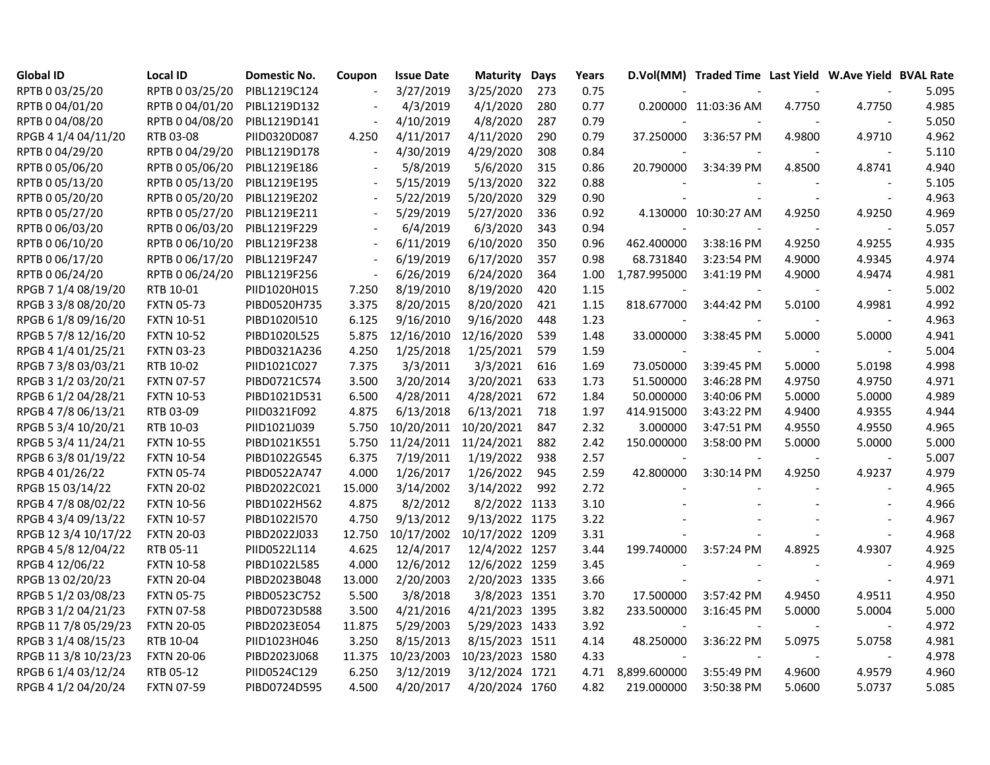| <b>Global ID</b>     | <b>Local ID</b>   | Domestic No. | Coupon                   | <b>Issue Date</b> | <b>Maturity Days</b> |     | Years |                          | D.Vol(MM) Traded Time Last Yield W.Ave Yield BVAL Rate |        |                          |       |
|----------------------|-------------------|--------------|--------------------------|-------------------|----------------------|-----|-------|--------------------------|--------------------------------------------------------|--------|--------------------------|-------|
| RPTB 0 03/25/20      | RPTB 0 03/25/20   | PIBL1219C124 |                          | 3/27/2019         | 3/25/2020            | 273 | 0.75  |                          |                                                        |        | $\blacksquare$           | 5.095 |
| RPTB 0 04/01/20      | RPTB 0 04/01/20   | PIBL1219D132 | $\overline{\phantom{a}}$ | 4/3/2019          | 4/1/2020             | 280 | 0.77  |                          | 0.200000 11:03:36 AM                                   | 4.7750 | 4.7750                   | 4.985 |
| RPTB 0 04/08/20      | RPTB 0 04/08/20   | PIBL1219D141 |                          | 4/10/2019         | 4/8/2020             | 287 | 0.79  |                          |                                                        |        |                          | 5.050 |
| RPGB 4 1/4 04/11/20  | RTB 03-08         | PIID0320D087 | 4.250                    | 4/11/2017         | 4/11/2020            | 290 | 0.79  | 37.250000                | 3:36:57 PM                                             | 4.9800 | 4.9710                   | 4.962 |
| RPTB 0 04/29/20      | RPTB 0 04/29/20   | PIBL1219D178 |                          | 4/30/2019         | 4/29/2020            | 308 | 0.84  |                          |                                                        |        |                          | 5.110 |
| RPTB 0 05/06/20      | RPTB 0 05/06/20   | PIBL1219E186 |                          | 5/8/2019          | 5/6/2020             | 315 | 0.86  | 20.790000                | 3:34:39 PM                                             | 4.8500 | 4.8741                   | 4.940 |
| RPTB 0 05/13/20      | RPTB 0 05/13/20   | PIBL1219E195 |                          | 5/15/2019         | 5/13/2020            | 322 | 0.88  |                          |                                                        |        |                          | 5.105 |
| RPTB 0 05/20/20      | RPTB 0 05/20/20   | PIBL1219E202 |                          | 5/22/2019         | 5/20/2020            | 329 | 0.90  |                          |                                                        |        | $\overline{\phantom{a}}$ | 4.963 |
| RPTB 0 05/27/20      | RPTB 0 05/27/20   | PIBL1219E211 | $\overline{\phantom{a}}$ | 5/29/2019         | 5/27/2020            | 336 | 0.92  |                          | 4.130000 10:30:27 AM                                   | 4.9250 | 4.9250                   | 4.969 |
| RPTB 0 06/03/20      | RPTB 0 06/03/20   | PIBL1219F229 | $\sim$                   | 6/4/2019          | 6/3/2020             | 343 | 0.94  |                          |                                                        |        |                          | 5.057 |
| RPTB 0 06/10/20      | RPTB 0 06/10/20   | PIBL1219F238 |                          | 6/11/2019         | 6/10/2020            | 350 | 0.96  | 462.400000               | 3:38:16 PM                                             | 4.9250 | 4.9255                   | 4.935 |
| RPTB 0 06/17/20      | RPTB 0 06/17/20   | PIBL1219F247 |                          | 6/19/2019         | 6/17/2020            | 357 | 0.98  | 68.731840                | 3:23:54 PM                                             | 4.9000 | 4.9345                   | 4.974 |
| RPTB 0 06/24/20      | RPTB 0 06/24/20   | PIBL1219F256 |                          | 6/26/2019         | 6/24/2020            | 364 | 1.00  | 1,787.995000             | 3:41:19 PM                                             | 4.9000 | 4.9474                   | 4.981 |
| RPGB 7 1/4 08/19/20  | RTB 10-01         | PIID1020H015 | 7.250                    | 8/19/2010         | 8/19/2020            | 420 | 1.15  |                          |                                                        |        |                          | 5.002 |
| RPGB 3 3/8 08/20/20  | <b>FXTN 05-73</b> | PIBD0520H735 | 3.375                    | 8/20/2015         | 8/20/2020            | 421 | 1.15  | 818.677000               | 3:44:42 PM                                             | 5.0100 | 4.9981                   | 4.992 |
| RPGB 6 1/8 09/16/20  | <b>FXTN 10-51</b> | PIBD1020I510 | 6.125                    | 9/16/2010         | 9/16/2020            | 448 | 1.23  |                          |                                                        |        |                          | 4.963 |
| RPGB 5 7/8 12/16/20  | <b>FXTN 10-52</b> | PIBD1020L525 | 5.875                    | 12/16/2010        | 12/16/2020           | 539 | 1.48  | 33.000000                | 3:38:45 PM                                             | 5.0000 | 5.0000                   | 4.941 |
| RPGB 4 1/4 01/25/21  | <b>FXTN 03-23</b> | PIBD0321A236 | 4.250                    | 1/25/2018         | 1/25/2021            | 579 | 1.59  |                          |                                                        |        |                          | 5.004 |
| RPGB 7 3/8 03/03/21  | RTB 10-02         | PIID1021C027 | 7.375                    | 3/3/2011          | 3/3/2021             | 616 | 1.69  | 73.050000                | 3:39:45 PM                                             | 5.0000 | 5.0198                   | 4.998 |
| RPGB 3 1/2 03/20/21  | <b>FXTN 07-57</b> | PIBD0721C574 | 3.500                    | 3/20/2014         | 3/20/2021            | 633 | 1.73  | 51.500000                | 3:46:28 PM                                             | 4.9750 | 4.9750                   | 4.971 |
| RPGB 6 1/2 04/28/21  | <b>FXTN 10-53</b> | PIBD1021D531 | 6.500                    | 4/28/2011         | 4/28/2021            | 672 | 1.84  | 50.000000                | 3:40:06 PM                                             | 5.0000 | 5.0000                   | 4.989 |
| RPGB 4 7/8 06/13/21  | RTB 03-09         | PIID0321F092 | 4.875                    | 6/13/2018         | 6/13/2021            | 718 | 1.97  | 414.915000               | 3:43:22 PM                                             | 4.9400 | 4.9355                   | 4.944 |
| RPGB 5 3/4 10/20/21  | RTB 10-03         | PIID1021J039 | 5.750                    | 10/20/2011        | 10/20/2021           | 847 | 2.32  | 3.000000                 | 3:47:51 PM                                             | 4.9550 | 4.9550                   | 4.965 |
| RPGB 5 3/4 11/24/21  | <b>FXTN 10-55</b> | PIBD1021K551 | 5.750                    | 11/24/2011        | 11/24/2021           | 882 | 2.42  | 150.000000               | 3:58:00 PM                                             | 5.0000 | 5.0000                   | 5.000 |
| RPGB 63/8 01/19/22   | <b>FXTN 10-54</b> | PIBD1022G545 | 6.375                    | 7/19/2011         | 1/19/2022            | 938 | 2.57  |                          |                                                        |        |                          | 5.007 |
| RPGB 4 01/26/22      | <b>FXTN 05-74</b> | PIBD0522A747 | 4.000                    | 1/26/2017         | 1/26/2022            | 945 | 2.59  | 42.800000                | 3:30:14 PM                                             | 4.9250 | 4.9237                   | 4.979 |
| RPGB 15 03/14/22     | <b>FXTN 20-02</b> | PIBD2022C021 | 15.000                   | 3/14/2002         | 3/14/2022            | 992 | 2.72  |                          |                                                        |        | $\overline{\phantom{a}}$ | 4.965 |
| RPGB 4 7/8 08/02/22  | <b>FXTN 10-56</b> | PIBD1022H562 | 4.875                    | 8/2/2012          | 8/2/2022 1133        |     | 3.10  |                          |                                                        |        | $\sim$                   | 4.966 |
| RPGB 4 3/4 09/13/22  | <b>FXTN 10-57</b> | PIBD1022I570 | 4.750                    | 9/13/2012         | 9/13/2022 1175       |     | 3.22  |                          |                                                        |        | $\overline{\phantom{a}}$ | 4.967 |
| RPGB 12 3/4 10/17/22 | <b>FXTN 20-03</b> | PIBD2022J033 | 12.750                   | 10/17/2002        | 10/17/2022 1209      |     | 3.31  |                          |                                                        |        |                          | 4.968 |
| RPGB 4 5/8 12/04/22  | RTB 05-11         | PIID0522L114 | 4.625                    | 12/4/2017         | 12/4/2022 1257       |     | 3.44  | 199.740000               | 3:57:24 PM                                             | 4.8925 | 4.9307                   | 4.925 |
| RPGB 4 12/06/22      | <b>FXTN 10-58</b> | PIBD1022L585 | 4.000                    | 12/6/2012         | 12/6/2022 1259       |     | 3.45  |                          |                                                        |        | $\sim$                   | 4.969 |
| RPGB 13 02/20/23     | <b>FXTN 20-04</b> | PIBD2023B048 | 13.000                   | 2/20/2003         | 2/20/2023 1335       |     | 3.66  |                          |                                                        |        | $\sim$                   | 4.971 |
| RPGB 5 1/2 03/08/23  | <b>FXTN 05-75</b> | PIBD0523C752 | 5.500                    | 3/8/2018          | 3/8/2023 1351        |     | 3.70  | 17.500000                | 3:57:42 PM                                             | 4.9450 | 4.9511                   | 4.950 |
| RPGB 3 1/2 04/21/23  | <b>FXTN 07-58</b> | PIBD0723D588 | 3.500                    | 4/21/2016         | 4/21/2023 1395       |     | 3.82  | 233.500000               | 3:16:45 PM                                             | 5.0000 | 5.0004                   | 5.000 |
| RPGB 11 7/8 05/29/23 | <b>FXTN 20-05</b> | PIBD2023E054 | 11.875                   | 5/29/2003         | 5/29/2023 1433       |     | 3.92  | $\overline{\phantom{a}}$ |                                                        |        |                          | 4.972 |
| RPGB 3 1/4 08/15/23  | RTB 10-04         | PIID1023H046 | 3.250                    | 8/15/2013         | 8/15/2023 1511       |     | 4.14  | 48.250000                | 3:36:22 PM                                             | 5.0975 | 5.0758                   | 4.981 |
| RPGB 11 3/8 10/23/23 | <b>FXTN 20-06</b> | PIBD2023J068 | 11.375                   | 10/23/2003        | 10/23/2023 1580      |     | 4.33  |                          | $\overline{\phantom{a}}$                               |        | $\overline{\phantom{a}}$ | 4.978 |
| RPGB 6 1/4 03/12/24  | RTB 05-12         | PIID0524C129 | 6.250                    | 3/12/2019         | 3/12/2024 1721       |     | 4.71  | 8,899.600000             | 3:55:49 PM                                             | 4.9600 | 4.9579                   | 4.960 |
| RPGB 4 1/2 04/20/24  | <b>FXTN 07-59</b> | PIBD0724D595 | 4.500                    | 4/20/2017         | 4/20/2024 1760       |     | 4.82  | 219.000000               | 3:50:38 PM                                             | 5.0600 | 5.0737                   | 5.085 |
|                      |                   |              |                          |                   |                      |     |       |                          |                                                        |        |                          |       |